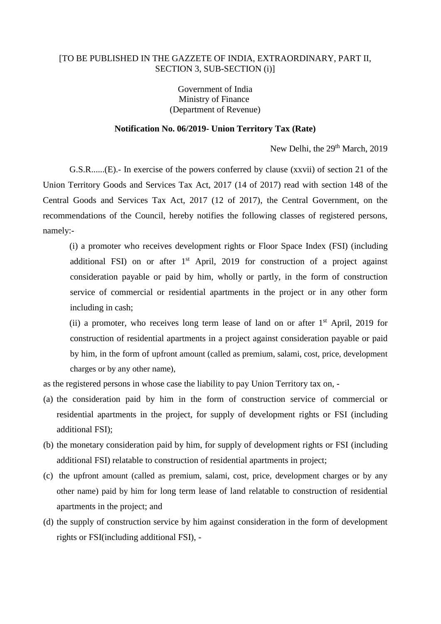## [TO BE PUBLISHED IN THE GAZZETE OF INDIA, EXTRAORDINARY, PART II, SECTION 3, SUB-SECTION (i)]

Government of India Ministry of Finance (Department of Revenue)

## **Notification No. 06/2019- Union Territory Tax (Rate)**

New Delhi, the 29<sup>th</sup> March, 2019

G.S.R......(E).- In exercise of the powers conferred by clause (xxvii) of section 21 of the Union Territory Goods and Services Tax Act, 2017 (14 of 2017) read with section 148 of the Central Goods and Services Tax Act, 2017 (12 of 2017), the Central Government, on the recommendations of the Council, hereby notifies the following classes of registered persons, namely:-

(i) a promoter who receives development rights or Floor Space Index (FSI) (including additional FSI) on or after 1<sup>st</sup> April, 2019 for construction of a project against consideration payable or paid by him, wholly or partly, in the form of construction service of commercial or residential apartments in the project or in any other form including in cash;

(ii) a promoter, who receives long term lease of land on or after  $1<sup>st</sup>$  April, 2019 for construction of residential apartments in a project against consideration payable or paid by him, in the form of upfront amount (called as premium, salami, cost, price, development charges or by any other name),

as the registered persons in whose case the liability to pay Union Territory tax on, -

- (a) the consideration paid by him in the form of construction service of commercial or residential apartments in the project, for supply of development rights or FSI (including additional FSI);
- (b) the monetary consideration paid by him, for supply of development rights or FSI (including additional FSI) relatable to construction of residential apartments in project;
- (c) the upfront amount (called as premium, salami, cost, price, development charges or by any other name) paid by him for long term lease of land relatable to construction of residential apartments in the project; and
- (d) the supply of construction service by him against consideration in the form of development rights or FSI(including additional FSI), -